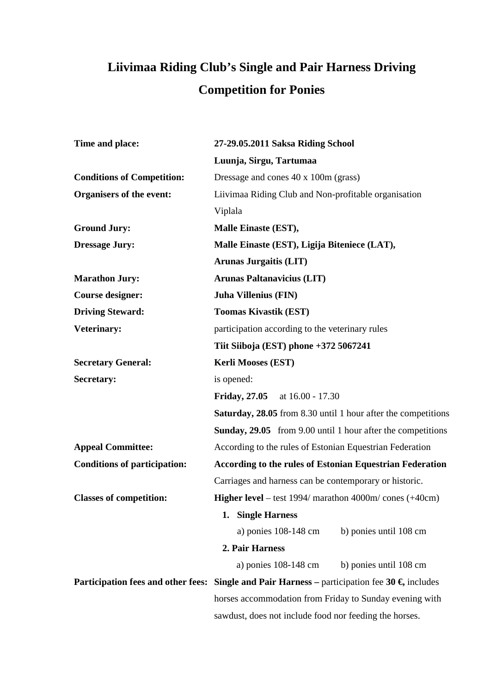## **Liivimaa Riding Club's Single and Pair Harness Driving Competition for Ponies**

| Time and place:                     | 27-29.05.2011 Saksa Riding School                                                                       |
|-------------------------------------|---------------------------------------------------------------------------------------------------------|
|                                     | Luunja, Sirgu, Tartumaa                                                                                 |
| <b>Conditions of Competition:</b>   | Dressage and cones 40 x 100m (grass)                                                                    |
| Organisers of the event:            | Liivimaa Riding Club and Non-profitable organisation                                                    |
|                                     | Viplala                                                                                                 |
| <b>Ground Jury:</b>                 | Malle Einaste (EST),                                                                                    |
| <b>Dressage Jury:</b>               | Malle Einaste (EST), Ligija Biteniece (LAT),                                                            |
|                                     | <b>Arunas Jurgaitis (LIT)</b>                                                                           |
| <b>Marathon Jury:</b>               | <b>Arunas Paltanavicius (LIT)</b>                                                                       |
| <b>Course designer:</b>             | <b>Juha Villenius (FIN)</b>                                                                             |
| <b>Driving Steward:</b>             | <b>Toomas Kivastik (EST)</b>                                                                            |
| Veterinary:                         | participation according to the veterinary rules                                                         |
|                                     | Tiit Siiboja (EST) phone +372 5067241                                                                   |
| <b>Secretary General:</b>           | <b>Kerli Mooses (EST)</b>                                                                               |
| Secretary:                          | is opened:                                                                                              |
|                                     | <b>Friday, 27.05</b><br>at 16.00 - 17.30                                                                |
|                                     | <b>Saturday, 28.05</b> from 8.30 until 1 hour after the competitions                                    |
|                                     | <b>Sunday, 29.05</b> from 9.00 until 1 hour after the competitions                                      |
| <b>Appeal Committee:</b>            | According to the rules of Estonian Equestrian Federation                                                |
| <b>Conditions of participation:</b> | <b>According to the rules of Estonian Equestrian Federation</b>                                         |
|                                     | Carriages and harness can be contemporary or historic.                                                  |
| <b>Classes of competition:</b>      | <b>Higher level</b> – test $1994/$ marathon $4000$ m/ cones $(+40$ cm)                                  |
|                                     | <b>Single Harness</b><br>1.                                                                             |
|                                     | a) ponies 108-148 cm<br>b) ponies until 108 cm                                                          |
|                                     | 2. Pair Harness                                                                                         |
|                                     | a) ponies 108-148 cm<br>b) ponies until 108 cm                                                          |
|                                     | Participation fees and other fees: Single and Pair Harness – participation fee 30 $\epsilon$ , includes |
|                                     | horses accommodation from Friday to Sunday evening with                                                 |
|                                     | sawdust, does not include food nor feeding the horses.                                                  |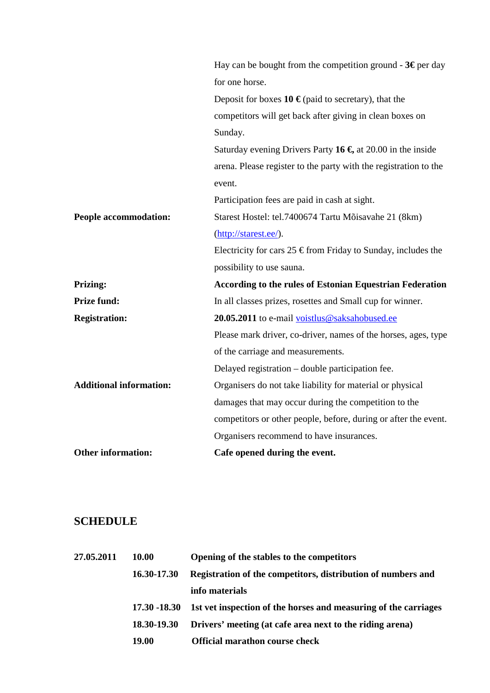|                                | Hay can be bought from the competition ground - $3\epsilon$ per day      |
|--------------------------------|--------------------------------------------------------------------------|
|                                | for one horse.                                                           |
|                                | Deposit for boxes $10 \in \text{(paid to secretary)}$ , that the         |
|                                | competitors will get back after giving in clean boxes on                 |
|                                | Sunday.                                                                  |
|                                | Saturday evening Drivers Party 16 $\epsilon$ , at 20.00 in the inside    |
|                                | arena. Please register to the party with the registration to the         |
|                                | event.                                                                   |
|                                | Participation fees are paid in cash at sight.                            |
| People accommodation:          | Starest Hostel: tel.7400674 Tartu Mõisavahe 21 (8km)                     |
|                                | (http://starest.ee/).                                                    |
|                                | Electricity for cars $25 \in \text{from Friday to Sunday, includes the}$ |
|                                | possibility to use sauna.                                                |
| <b>Prizing:</b>                | <b>According to the rules of Estonian Equestrian Federation</b>          |
| <b>Prize fund:</b>             | In all classes prizes, rosettes and Small cup for winner.                |
| <b>Registration:</b>           | 20.05.2011 to e-mail voistlus@saksahobused.ee                            |
|                                | Please mark driver, co-driver, names of the horses, ages, type           |
|                                | of the carriage and measurements.                                        |
|                                | Delayed registration – double participation fee.                         |
| <b>Additional information:</b> | Organisers do not take liability for material or physical                |
|                                | damages that may occur during the competition to the                     |
|                                | competitors or other people, before, during or after the event.          |
|                                | Organisers recommend to have insurances.                                 |
| <b>Other information:</b>      | Cafe opened during the event.                                            |

## **SCHEDULE**

| 27.05.2011 | <b>10.00</b> | Opening of the stables to the competitors                       |
|------------|--------------|-----------------------------------------------------------------|
|            | 16.30-17.30  | Registration of the competitors, distribution of numbers and    |
|            |              | info materials                                                  |
|            | 17.30 -18.30 | 1st vet inspection of the horses and measuring of the carriages |
|            | 18.30-19.30  | Drivers' meeting (at cafe area next to the riding arena)        |
|            | 19.00        | <b>Official marathon course check</b>                           |